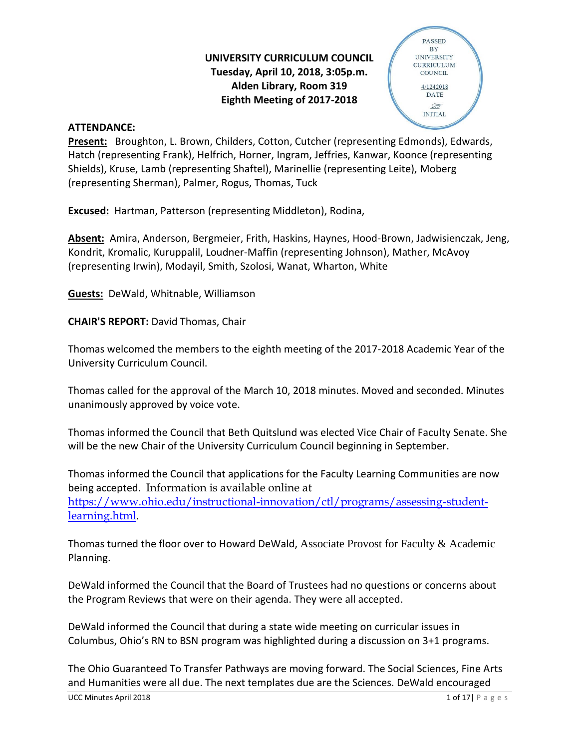## **UNIVERSITY CURRICULUM COUNCIL Tuesday, April 10, 2018, 3:05p.m. Alden Library, Room 319 Eighth Meeting of 2017-2018**

#### **ATTENDANCE:**



**Present:** Broughton, L. Brown, Childers, Cotton, Cutcher (representing Edmonds), Edwards, Hatch (representing Frank), Helfrich, Horner, Ingram, Jeffries, Kanwar, Koonce (representing Shields), Kruse, Lamb (representing Shaftel), Marinellie (representing Leite), Moberg (representing Sherman), Palmer, Rogus, Thomas, Tuck

**Excused:** Hartman, Patterson (representing Middleton), Rodina,

**Absent:** Amira, Anderson, Bergmeier, Frith, Haskins, Haynes, Hood-Brown, Jadwisienczak, Jeng, Kondrit, Kromalic, Kuruppalil, Loudner-Maffin (representing Johnson), Mather, McAvoy (representing Irwin), Modayil, Smith, Szolosi, Wanat, Wharton, White

**Guests:** DeWald, Whitnable, Williamson

**CHAIR'S REPORT:** David Thomas, Chair

Thomas welcomed the members to the eighth meeting of the 2017-2018 Academic Year of the University Curriculum Council.

Thomas called for the approval of the March 10, 2018 minutes. Moved and seconded. Minutes unanimously approved by voice vote.

Thomas informed the Council that Beth Quitslund was elected Vice Chair of Faculty Senate. She will be the new Chair of the University Curriculum Council beginning in September.

Thomas informed the Council that applications for the Faculty Learning Communities are now being accepted. Information is available online at [https://www.ohio.edu/instructional-innovation/ctl/programs/assessing-student](https://www.ohio.edu/instructional-innovation/ctl/programs/assessing-student-learning.html)[learning.html.](https://www.ohio.edu/instructional-innovation/ctl/programs/assessing-student-learning.html)

Thomas turned the floor over to Howard DeWald, Associate Provost for Faculty & Academic Planning.

DeWald informed the Council that the Board of Trustees had no questions or concerns about the Program Reviews that were on their agenda. They were all accepted.

DeWald informed the Council that during a state wide meeting on curricular issues in Columbus, Ohio's RN to BSN program was highlighted during a discussion on 3+1 programs.

The Ohio Guaranteed To Transfer Pathways are moving forward. The Social Sciences, Fine Arts and Humanities were all due. The next templates due are the Sciences. DeWald encouraged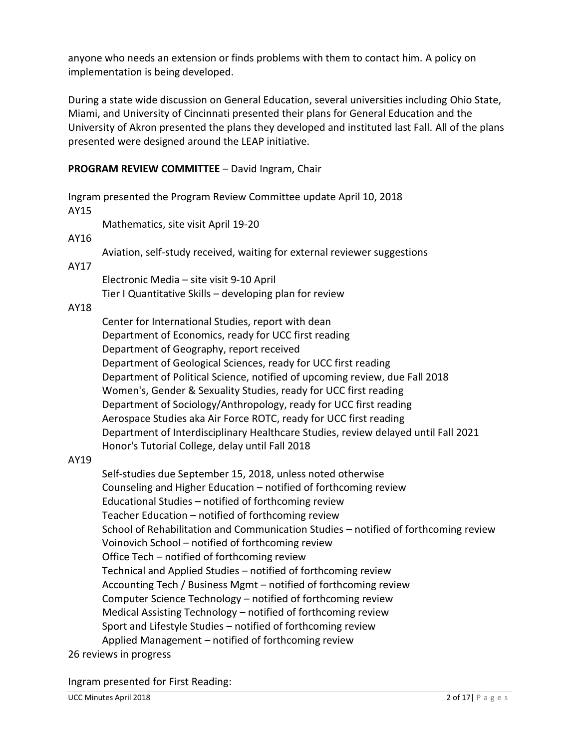anyone who needs an extension or finds problems with them to contact him. A policy on implementation is being developed.

During a state wide discussion on General Education, several universities including Ohio State, Miami, and University of Cincinnati presented their plans for General Education and the University of Akron presented the plans they developed and instituted last Fall. All of the plans presented were designed around the LEAP initiative.

## **PROGRAM REVIEW COMMITTEE** – David Ingram, Chair

Ingram presented the Program Review Committee update April 10, 2018 AY15 Mathematics, site visit April 19-20 AY16 Aviation, self-study received, waiting for external reviewer suggestions AY17 Electronic Media – site visit 9-10 April Tier I Quantitative Skills – developing plan for review AY18 Center for International Studies, report with dean Department of Economics, ready for UCC first reading Department of Geography, report received Department of Geological Sciences, ready for UCC first reading Department of Political Science, notified of upcoming review, due Fall 2018 Women's, Gender & Sexuality Studies, ready for UCC first reading Department of Sociology/Anthropology, ready for UCC first reading Aerospace Studies aka Air Force ROTC, ready for UCC first reading Department of Interdisciplinary Healthcare Studies, review delayed until Fall 2021 Honor's Tutorial College, delay until Fall 2018 AY19 Self-studies due September 15, 2018, unless noted otherwise Counseling and Higher Education – notified of forthcoming review Educational Studies – notified of forthcoming review Teacher Education – notified of forthcoming review School of Rehabilitation and Communication Studies – notified of forthcoming review Voinovich School – notified of forthcoming review Office Tech – notified of forthcoming review Technical and Applied Studies – notified of forthcoming review Accounting Tech / Business Mgmt – notified of forthcoming review Computer Science Technology – notified of forthcoming review Medical Assisting Technology – notified of forthcoming review Sport and Lifestyle Studies – notified of forthcoming review Applied Management – notified of forthcoming review 26 reviews in progress

Ingram presented for First Reading: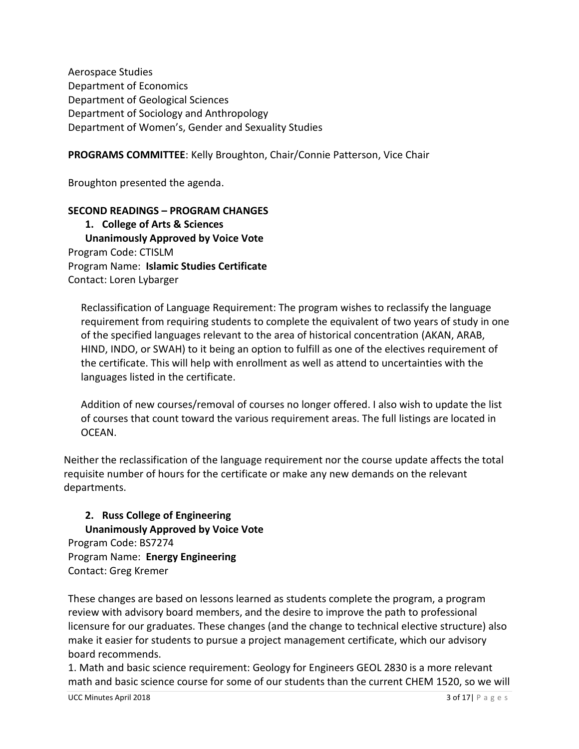Aerospace Studies Department of Economics Department of Geological Sciences Department of Sociology and Anthropology Department of Women's, Gender and Sexuality Studies

**PROGRAMS COMMITTEE**: Kelly Broughton, Chair/Connie Patterson, Vice Chair

Broughton presented the agenda.

## **SECOND READINGS – PROGRAM CHANGES**

**1. College of Arts & Sciences Unanimously Approved by Voice Vote** Program Code: CTISLM Program Name: **Islamic Studies Certificate**  Contact: Loren Lybarger

Reclassification of Language Requirement: The program wishes to reclassify the language requirement from requiring students to complete the equivalent of two years of study in one of the specified languages relevant to the area of historical concentration (AKAN, ARAB, HIND, INDO, or SWAH) to it being an option to fulfill as one of the electives requirement of the certificate. This will help with enrollment as well as attend to uncertainties with the languages listed in the certificate.

Addition of new courses/removal of courses no longer offered. I also wish to update the list of courses that count toward the various requirement areas. The full listings are located in OCEAN.

Neither the reclassification of the language requirement nor the course update affects the total requisite number of hours for the certificate or make any new demands on the relevant departments.

## **2. Russ College of Engineering Unanimously Approved by Voice Vote** Program Code: BS7274

Program Name: **Energy Engineering**  Contact: Greg Kremer

These changes are based on lessons learned as students complete the program, a program review with advisory board members, and the desire to improve the path to professional licensure for our graduates. These changes (and the change to technical elective structure) also make it easier for students to pursue a project management certificate, which our advisory board recommends.

1. Math and basic science requirement: Geology for Engineers GEOL 2830 is a more relevant math and basic science course for some of our students than the current CHEM 1520, so we will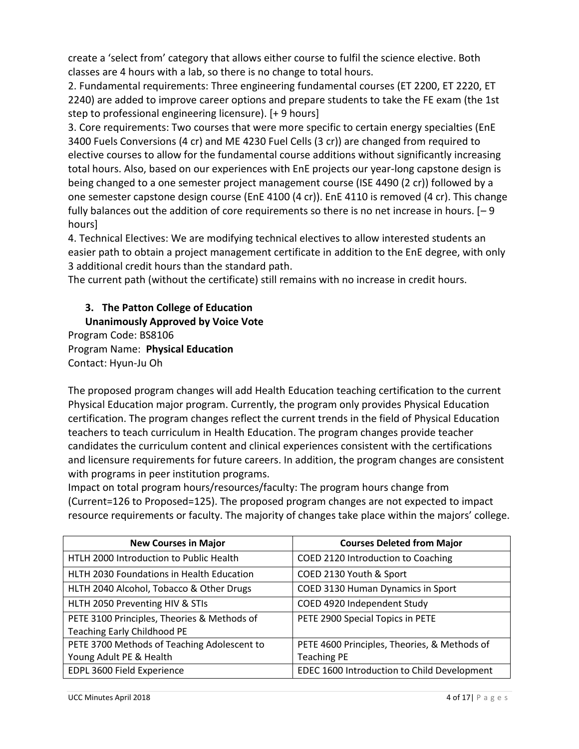create a 'select from' category that allows either course to fulfil the science elective. Both classes are 4 hours with a lab, so there is no change to total hours.

2. Fundamental requirements: Three engineering fundamental courses (ET 2200, ET 2220, ET 2240) are added to improve career options and prepare students to take the FE exam (the 1st step to professional engineering licensure). [+ 9 hours]

3. Core requirements: Two courses that were more specific to certain energy specialties (EnE 3400 Fuels Conversions (4 cr) and ME 4230 Fuel Cells (3 cr)) are changed from required to elective courses to allow for the fundamental course additions without significantly increasing total hours. Also, based on our experiences with EnE projects our year-long capstone design is being changed to a one semester project management course (ISE 4490 (2 cr)) followed by a one semester capstone design course (EnE 4100 (4 cr)). EnE 4110 is removed (4 cr). This change fully balances out the addition of core requirements so there is no net increase in hours. [– 9 hours]

4. Technical Electives: We are modifying technical electives to allow interested students an easier path to obtain a project management certificate in addition to the EnE degree, with only 3 additional credit hours than the standard path.

The current path (without the certificate) still remains with no increase in credit hours.

## **3. The Patton College of Education**

## **Unanimously Approved by Voice Vote**

Program Code: BS8106 Program Name: **Physical Education**  Contact: Hyun-Ju Oh

The proposed program changes will add Health Education teaching certification to the current Physical Education major program. Currently, the program only provides Physical Education certification. The program changes reflect the current trends in the field of Physical Education teachers to teach curriculum in Health Education. The program changes provide teacher candidates the curriculum content and clinical experiences consistent with the certifications and licensure requirements for future careers. In addition, the program changes are consistent with programs in peer institution programs.

Impact on total program hours/resources/faculty: The program hours change from (Current=126 to Proposed=125). The proposed program changes are not expected to impact resource requirements or faculty. The majority of changes take place within the majors' college.

| <b>New Courses in Major</b>                 | <b>Courses Deleted from Major</b>            |
|---------------------------------------------|----------------------------------------------|
| HTLH 2000 Introduction to Public Health     | COED 2120 Introduction to Coaching           |
| HLTH 2030 Foundations in Health Education   | COED 2130 Youth & Sport                      |
| HLTH 2040 Alcohol, Tobacco & Other Drugs    | COED 3130 Human Dynamics in Sport            |
| HLTH 2050 Preventing HIV & STIs             | COED 4920 Independent Study                  |
| PETE 3100 Principles, Theories & Methods of | PETE 2900 Special Topics in PETE             |
| <b>Teaching Early Childhood PE</b>          |                                              |
| PETE 3700 Methods of Teaching Adolescent to | PETE 4600 Principles, Theories, & Methods of |
| Young Adult PE & Health                     | <b>Teaching PE</b>                           |
| EDPL 3600 Field Experience                  | EDEC 1600 Introduction to Child Development  |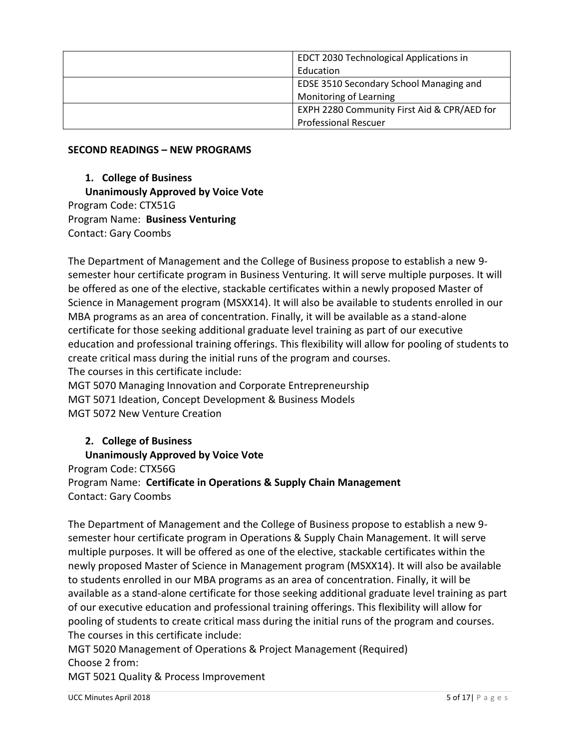| EDCT 2030 Technological Applications in     |
|---------------------------------------------|
| Education                                   |
| EDSE 3510 Secondary School Managing and     |
| Monitoring of Learning                      |
| EXPH 2280 Community First Aid & CPR/AED for |
| <b>Professional Rescuer</b>                 |

#### **SECOND READINGS – NEW PROGRAMS**

**1. College of Business Unanimously Approved by Voice Vote** Program Code: CTX51G Program Name: **Business Venturing**  Contact: Gary Coombs

The Department of Management and the College of Business propose to establish a new 9 semester hour certificate program in Business Venturing. It will serve multiple purposes. It will be offered as one of the elective, stackable certificates within a newly proposed Master of Science in Management program (MSXX14). It will also be available to students enrolled in our MBA programs as an area of concentration. Finally, it will be available as a stand-alone certificate for those seeking additional graduate level training as part of our executive education and professional training offerings. This flexibility will allow for pooling of students to create critical mass during the initial runs of the program and courses. The courses in this certificate include:

MGT 5070 Managing Innovation and Corporate Entrepreneurship MGT 5071 Ideation, Concept Development & Business Models MGT 5072 New Venture Creation

## **2. College of Business**

**Unanimously Approved by Voice Vote** Program Code: CTX56G Program Name: **Certificate in Operations & Supply Chain Management** Contact: Gary Coombs

The Department of Management and the College of Business propose to establish a new 9 semester hour certificate program in Operations & Supply Chain Management. It will serve multiple purposes. It will be offered as one of the elective, stackable certificates within the newly proposed Master of Science in Management program (MSXX14). It will also be available to students enrolled in our MBA programs as an area of concentration. Finally, it will be available as a stand-alone certificate for those seeking additional graduate level training as part of our executive education and professional training offerings. This flexibility will allow for pooling of students to create critical mass during the initial runs of the program and courses. The courses in this certificate include:

MGT 5020 Management of Operations & Project Management (Required) Choose 2 from: MGT 5021 Quality & Process Improvement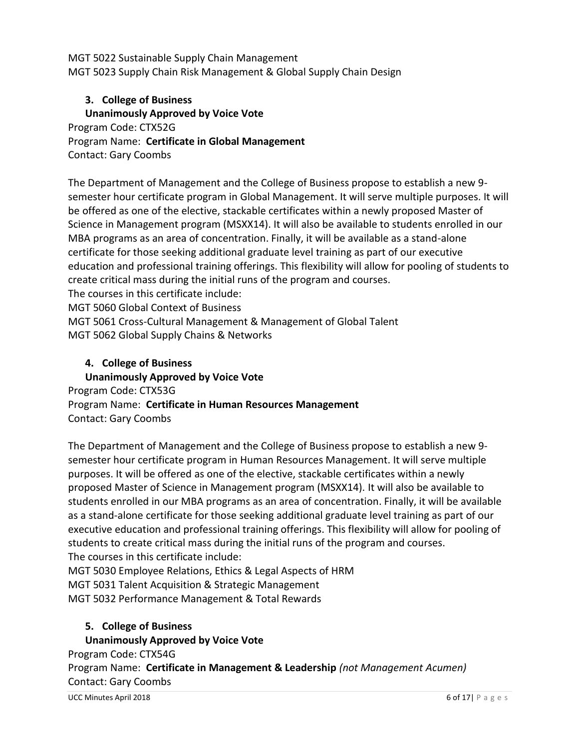MGT 5022 Sustainable Supply Chain Management MGT 5023 Supply Chain Risk Management & Global Supply Chain Design

# **3. College of Business Unanimously Approved by Voice Vote** Program Code: CTX52G

Program Name: **Certificate in Global Management** Contact: Gary Coombs

The Department of Management and the College of Business propose to establish a new 9 semester hour certificate program in Global Management. It will serve multiple purposes. It will be offered as one of the elective, stackable certificates within a newly proposed Master of Science in Management program (MSXX14). It will also be available to students enrolled in our MBA programs as an area of concentration. Finally, it will be available as a stand-alone certificate for those seeking additional graduate level training as part of our executive education and professional training offerings. This flexibility will allow for pooling of students to create critical mass during the initial runs of the program and courses.

The courses in this certificate include:

MGT 5060 Global Context of Business

MGT 5061 Cross-Cultural Management & Management of Global Talent MGT 5062 Global Supply Chains & Networks

## **4. College of Business**

**Unanimously Approved by Voice Vote** Program Code: CTX53G Program Name: **Certificate in Human Resources Management** Contact: Gary Coombs

The Department of Management and the College of Business propose to establish a new 9 semester hour certificate program in Human Resources Management. It will serve multiple purposes. It will be offered as one of the elective, stackable certificates within a newly proposed Master of Science in Management program (MSXX14). It will also be available to students enrolled in our MBA programs as an area of concentration. Finally, it will be available as a stand-alone certificate for those seeking additional graduate level training as part of our executive education and professional training offerings. This flexibility will allow for pooling of students to create critical mass during the initial runs of the program and courses. The courses in this certificate include:

MGT 5030 Employee Relations, Ethics & Legal Aspects of HRM

MGT 5031 Talent Acquisition & Strategic Management

MGT 5032 Performance Management & Total Rewards

## **5. College of Business**

## **Unanimously Approved by Voice Vote**

Program Code: CTX54G

Program Name: **Certificate in Management & Leadership** *(not Management Acumen)* Contact: Gary Coombs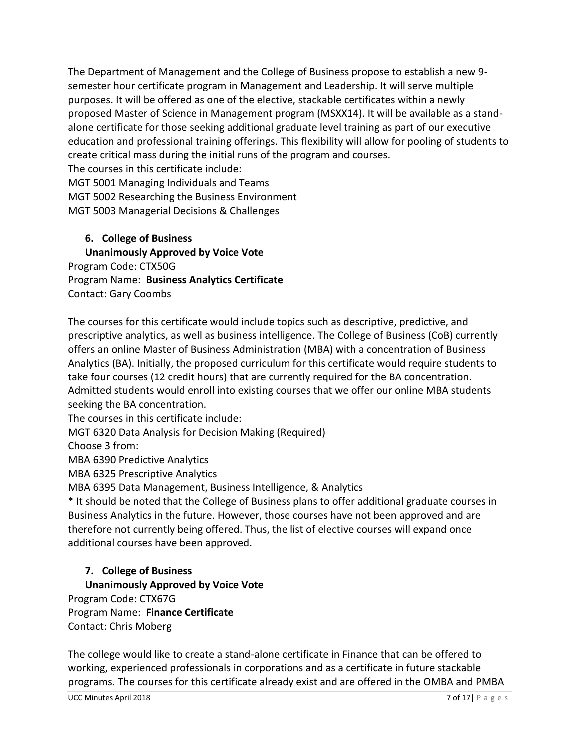The Department of Management and the College of Business propose to establish a new 9 semester hour certificate program in Management and Leadership. It will serve multiple purposes. It will be offered as one of the elective, stackable certificates within a newly proposed Master of Science in Management program (MSXX14). It will be available as a standalone certificate for those seeking additional graduate level training as part of our executive education and professional training offerings. This flexibility will allow for pooling of students to create critical mass during the initial runs of the program and courses.

The courses in this certificate include:

MGT 5001 Managing Individuals and Teams

MGT 5002 Researching the Business Environment

MGT 5003 Managerial Decisions & Challenges

## **6. College of Business**

**Unanimously Approved by Voice Vote** Program Code: CTX50G Program Name: **Business Analytics Certificate** Contact: Gary Coombs

The courses for this certificate would include topics such as descriptive, predictive, and prescriptive analytics, as well as business intelligence. The College of Business (CoB) currently offers an online Master of Business Administration (MBA) with a concentration of Business Analytics (BA). Initially, the proposed curriculum for this certificate would require students to take four courses (12 credit hours) that are currently required for the BA concentration. Admitted students would enroll into existing courses that we offer our online MBA students seeking the BA concentration.

The courses in this certificate include:

MGT 6320 Data Analysis for Decision Making (Required)

Choose 3 from:

MBA 6390 Predictive Analytics

MBA 6325 Prescriptive Analytics

MBA 6395 Data Management, Business Intelligence, & Analytics

\* It should be noted that the College of Business plans to offer additional graduate courses in Business Analytics in the future. However, those courses have not been approved and are therefore not currently being offered. Thus, the list of elective courses will expand once additional courses have been approved.

## **7. College of Business**

## **Unanimously Approved by Voice Vote**

Program Code: CTX67G Program Name: **Finance Certificate**  Contact: Chris Moberg

The college would like to create a stand-alone certificate in Finance that can be offered to working, experienced professionals in corporations and as a certificate in future stackable programs. The courses for this certificate already exist and are offered in the OMBA and PMBA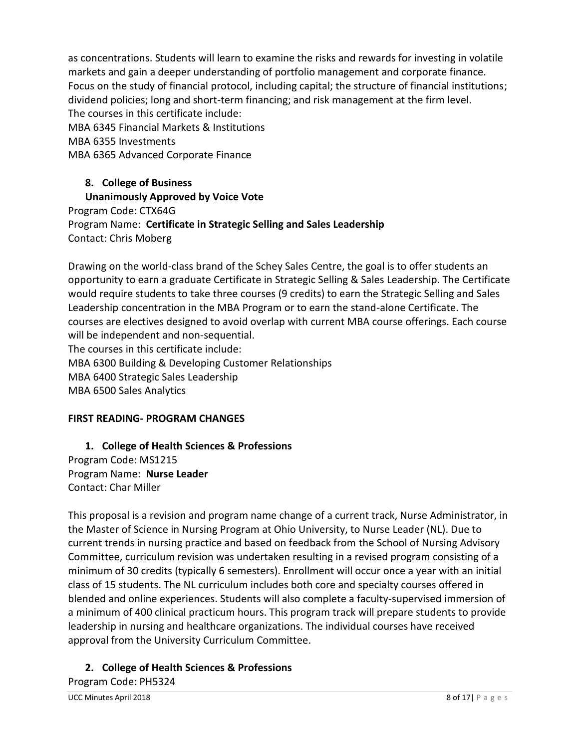as concentrations. Students will learn to examine the risks and rewards for investing in volatile markets and gain a deeper understanding of portfolio management and corporate finance. Focus on the study of financial protocol, including capital; the structure of financial institutions; dividend policies; long and short-term financing; and risk management at the firm level. The courses in this certificate include:

MBA 6345 Financial Markets & Institutions

MBA 6355 Investments

MBA 6365 Advanced Corporate Finance

**8. College of Business Unanimously Approved by Voice Vote** Program Code: CTX64G Program Name: **Certificate in Strategic Selling and Sales Leadership** Contact: Chris Moberg

Drawing on the world-class brand of the Schey Sales Centre, the goal is to offer students an opportunity to earn a graduate Certificate in Strategic Selling & Sales Leadership. The Certificate would require students to take three courses (9 credits) to earn the Strategic Selling and Sales Leadership concentration in the MBA Program or to earn the stand-alone Certificate. The courses are electives designed to avoid overlap with current MBA course offerings. Each course will be independent and non-sequential. The courses in this certificate include: MBA 6300 Building & Developing Customer Relationships MBA 6400 Strategic Sales Leadership

MBA 6500 Sales Analytics

#### **FIRST READING- PROGRAM CHANGES**

**1. College of Health Sciences & Professions** Program Code: MS1215 Program Name: **Nurse Leader** Contact: Char Miller

This proposal is a revision and program name change of a current track, Nurse Administrator, in the Master of Science in Nursing Program at Ohio University, to Nurse Leader (NL). Due to current trends in nursing practice and based on feedback from the School of Nursing Advisory Committee, curriculum revision was undertaken resulting in a revised program consisting of a minimum of 30 credits (typically 6 semesters). Enrollment will occur once a year with an initial class of 15 students. The NL curriculum includes both core and specialty courses offered in blended and online experiences. Students will also complete a faculty-supervised immersion of a minimum of 400 clinical practicum hours. This program track will prepare students to provide leadership in nursing and healthcare organizations. The individual courses have received approval from the University Curriculum Committee.

**2. College of Health Sciences & Professions**

Program Code: PH5324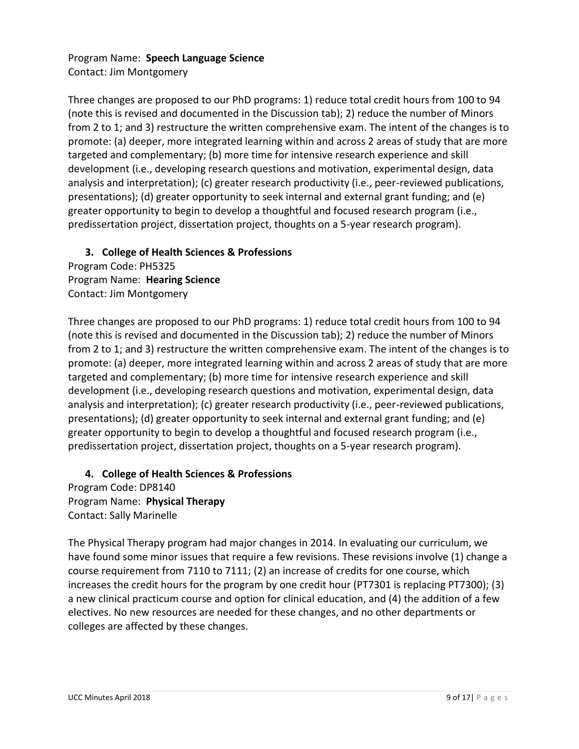Program Name: **Speech Language Science** Contact: Jim Montgomery

Three changes are proposed to our PhD programs: 1) reduce total credit hours from 100 to 94 (note this is revised and documented in the Discussion tab); 2) reduce the number of Minors from 2 to 1; and 3) restructure the written comprehensive exam. The intent of the changes is to promote: (a) deeper, more integrated learning within and across 2 areas of study that are more targeted and complementary; (b) more time for intensive research experience and skill development (i.e., developing research questions and motivation, experimental design, data analysis and interpretation); (c) greater research productivity (i.e., peer-reviewed publications, presentations); (d) greater opportunity to seek internal and external grant funding; and (e) greater opportunity to begin to develop a thoughtful and focused research program (i.e., predissertation project, dissertation project, thoughts on a 5-year research program).

## **3. College of Health Sciences & Professions**

Program Code: PH5325 Program Name: **Hearing Science** Contact: Jim Montgomery

Three changes are proposed to our PhD programs: 1) reduce total credit hours from 100 to 94 (note this is revised and documented in the Discussion tab); 2) reduce the number of Minors from 2 to 1; and 3) restructure the written comprehensive exam. The intent of the changes is to promote: (a) deeper, more integrated learning within and across 2 areas of study that are more targeted and complementary; (b) more time for intensive research experience and skill development (i.e., developing research questions and motivation, experimental design, data analysis and interpretation); (c) greater research productivity (i.e., peer-reviewed publications, presentations); (d) greater opportunity to seek internal and external grant funding; and (e) greater opportunity to begin to develop a thoughtful and focused research program (i.e., predissertation project, dissertation project, thoughts on a 5-year research program).

## **4. College of Health Sciences & Professions** Program Code: DP8140 Program Name: **Physical Therapy** Contact: Sally Marinelle

The Physical Therapy program had major changes in 2014. In evaluating our curriculum, we have found some minor issues that require a few revisions. These revisions involve (1) change a course requirement from 7110 to 7111; (2) an increase of credits for one course, which increases the credit hours for the program by one credit hour (PT7301 is replacing PT7300); (3) a new clinical practicum course and option for clinical education, and (4) the addition of a few electives. No new resources are needed for these changes, and no other departments or colleges are affected by these changes.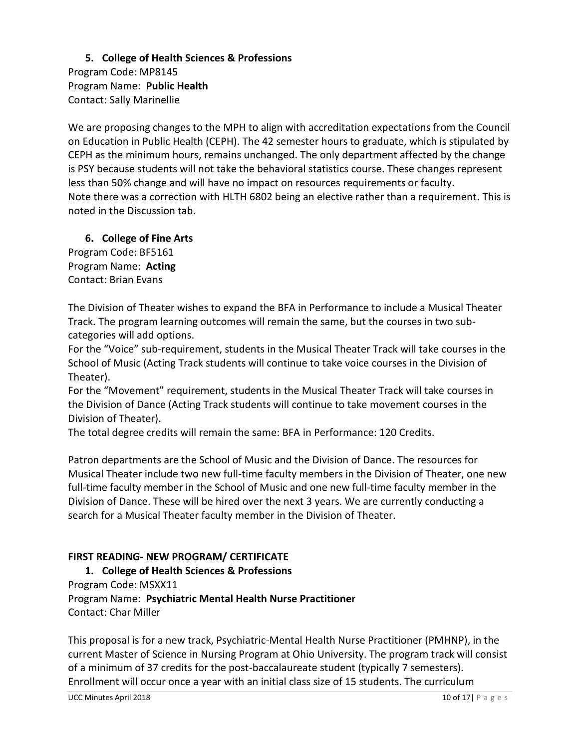**5. College of Health Sciences & Professions** Program Code: MP8145 Program Name: **Public Health** Contact: Sally Marinellie

We are proposing changes to the MPH to align with accreditation expectations from the Council on Education in Public Health (CEPH). The 42 semester hours to graduate, which is stipulated by CEPH as the minimum hours, remains unchanged. The only department affected by the change is PSY because students will not take the behavioral statistics course. These changes represent less than 50% change and will have no impact on resources requirements or faculty. Note there was a correction with HLTH 6802 being an elective rather than a requirement. This is noted in the Discussion tab.

## **6. College of Fine Arts**

Program Code: BF5161 Program Name: **Acting** Contact: Brian Evans

The Division of Theater wishes to expand the BFA in Performance to include a Musical Theater Track. The program learning outcomes will remain the same, but the courses in two subcategories will add options.

For the "Voice" sub-requirement, students in the Musical Theater Track will take courses in the School of Music (Acting Track students will continue to take voice courses in the Division of Theater).

For the "Movement" requirement, students in the Musical Theater Track will take courses in the Division of Dance (Acting Track students will continue to take movement courses in the Division of Theater).

The total degree credits will remain the same: BFA in Performance: 120 Credits.

Patron departments are the School of Music and the Division of Dance. The resources for Musical Theater include two new full-time faculty members in the Division of Theater, one new full-time faculty member in the School of Music and one new full-time faculty member in the Division of Dance. These will be hired over the next 3 years. We are currently conducting a search for a Musical Theater faculty member in the Division of Theater.

## **FIRST READING- NEW PROGRAM/ CERTIFICATE**

# **1. College of Health Sciences & Professions**

Program Code: MSXX11 Program Name: **Psychiatric Mental Health Nurse Practitioner** Contact: Char Miller

This proposal is for a new track, Psychiatric-Mental Health Nurse Practitioner (PMHNP), in the current Master of Science in Nursing Program at Ohio University. The program track will consist of a minimum of 37 credits for the post-baccalaureate student (typically 7 semesters). Enrollment will occur once a year with an initial class size of 15 students. The curriculum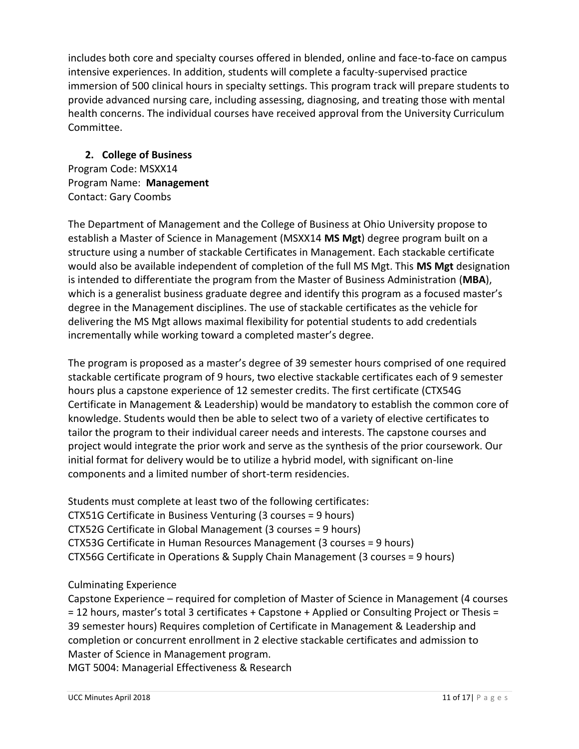includes both core and specialty courses offered in blended, online and face-to-face on campus intensive experiences. In addition, students will complete a faculty-supervised practice immersion of 500 clinical hours in specialty settings. This program track will prepare students to provide advanced nursing care, including assessing, diagnosing, and treating those with mental health concerns. The individual courses have received approval from the University Curriculum Committee.

**2. College of Business** Program Code: MSXX14 Program Name: **Management** Contact: Gary Coombs

The Department of Management and the College of Business at Ohio University propose to establish a Master of Science in Management (MSXX14 **MS Mgt**) degree program built on a structure using a number of stackable Certificates in Management. Each stackable certificate would also be available independent of completion of the full MS Mgt. This **MS Mgt** designation is intended to differentiate the program from the Master of Business Administration (**MBA**), which is a generalist business graduate degree and identify this program as a focused master's degree in the Management disciplines. The use of stackable certificates as the vehicle for delivering the MS Mgt allows maximal flexibility for potential students to add credentials incrementally while working toward a completed master's degree.

The program is proposed as a master's degree of 39 semester hours comprised of one required stackable certificate program of 9 hours, two elective stackable certificates each of 9 semester hours plus a capstone experience of 12 semester credits. The first certificate (CTX54G Certificate in Management & Leadership) would be mandatory to establish the common core of knowledge. Students would then be able to select two of a variety of elective certificates to tailor the program to their individual career needs and interests. The capstone courses and project would integrate the prior work and serve as the synthesis of the prior coursework. Our initial format for delivery would be to utilize a hybrid model, with significant on-line components and a limited number of short-term residencies.

Students must complete at least two of the following certificates: CTX51G Certificate in Business Venturing (3 courses = 9 hours) CTX52G Certificate in Global Management (3 courses = 9 hours) CTX53G Certificate in Human Resources Management (3 courses = 9 hours) CTX56G Certificate in Operations & Supply Chain Management (3 courses = 9 hours)

## Culminating Experience

Capstone Experience – required for completion of Master of Science in Management (4 courses = 12 hours, master's total 3 certificates + Capstone + Applied or Consulting Project or Thesis = 39 semester hours) Requires completion of Certificate in Management & Leadership and completion or concurrent enrollment in 2 elective stackable certificates and admission to Master of Science in Management program.

MGT 5004: Managerial Effectiveness & Research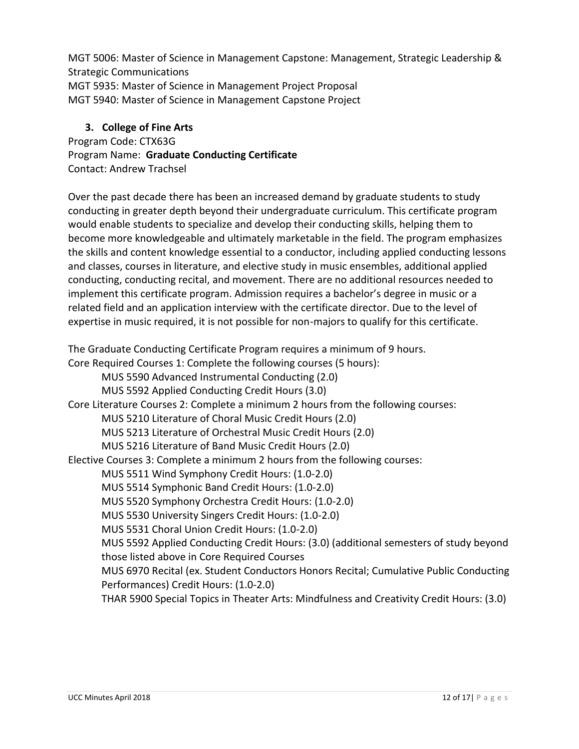MGT 5006: Master of Science in Management Capstone: Management, Strategic Leadership & Strategic Communications MGT 5935: Master of Science in Management Project Proposal MGT 5940: Master of Science in Management Capstone Project

# **3. College of Fine Arts**

Program Code: CTX63G Program Name: **Graduate Conducting Certificate** Contact: Andrew Trachsel

Over the past decade there has been an increased demand by graduate students to study conducting in greater depth beyond their undergraduate curriculum. This certificate program would enable students to specialize and develop their conducting skills, helping them to become more knowledgeable and ultimately marketable in the field. The program emphasizes the skills and content knowledge essential to a conductor, including applied conducting lessons and classes, courses in literature, and elective study in music ensembles, additional applied conducting, conducting recital, and movement. There are no additional resources needed to implement this certificate program. Admission requires a bachelor's degree in music or a related field and an application interview with the certificate director. Due to the level of expertise in music required, it is not possible for non-majors to qualify for this certificate.

The Graduate Conducting Certificate Program requires a minimum of 9 hours. Core Required Courses 1: Complete the following courses (5 hours): MUS 5590 Advanced Instrumental Conducting (2.0) MUS 5592 Applied Conducting Credit Hours (3.0) Core Literature Courses 2: Complete a minimum 2 hours from the following courses: MUS 5210 Literature of Choral Music Credit Hours (2.0) MUS 5213 Literature of Orchestral Music Credit Hours (2.0) MUS 5216 Literature of Band Music Credit Hours (2.0) Elective Courses 3: Complete a minimum 2 hours from the following courses: MUS 5511 Wind Symphony Credit Hours: (1.0-2.0) MUS 5514 Symphonic Band Credit Hours: (1.0-2.0) MUS 5520 Symphony Orchestra Credit Hours: (1.0-2.0) MUS 5530 University Singers Credit Hours: (1.0-2.0) MUS 5531 Choral Union Credit Hours: (1.0-2.0) MUS 5592 Applied Conducting Credit Hours: (3.0) (additional semesters of study beyond those listed above in Core Required Courses MUS 6970 Recital (ex. Student Conductors Honors Recital; Cumulative Public Conducting Performances) Credit Hours: (1.0-2.0) THAR 5900 Special Topics in Theater Arts: Mindfulness and Creativity Credit Hours: (3.0)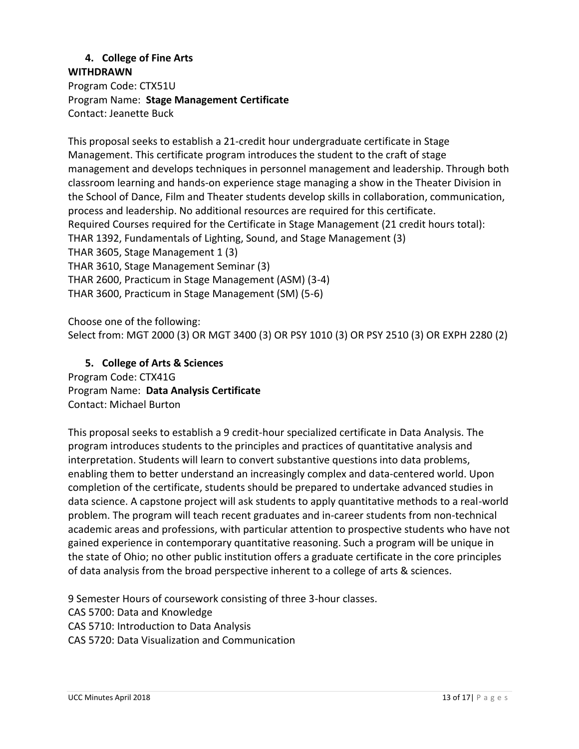#### **4. College of Fine Arts WITHDRAWN**

Program Code: CTX51U Program Name: **Stage Management Certificate** Contact: Jeanette Buck

This proposal seeks to establish a 21-credit hour undergraduate certificate in Stage Management. This certificate program introduces the student to the craft of stage management and develops techniques in personnel management and leadership. Through both classroom learning and hands-on experience stage managing a show in the Theater Division in the School of Dance, Film and Theater students develop skills in collaboration, communication, process and leadership. No additional resources are required for this certificate. Required Courses required for the Certificate in Stage Management (21 credit hours total): THAR 1392, Fundamentals of Lighting, Sound, and Stage Management (3) THAR 3605, Stage Management 1 (3) THAR 3610, Stage Management Seminar (3) THAR 2600, Practicum in Stage Management (ASM) (3-4) THAR 3600, Practicum in Stage Management (SM) (5-6)

Choose one of the following: Select from: MGT 2000 (3) OR MGT 3400 (3) OR PSY 1010 (3) OR PSY 2510 (3) OR EXPH 2280 (2)

## **5. College of Arts & Sciences**

Program Code: CTX41G Program Name: **Data Analysis Certificate** Contact: Michael Burton

This proposal seeks to establish a 9 credit-hour specialized certificate in Data Analysis. The program introduces students to the principles and practices of quantitative analysis and interpretation. Students will learn to convert substantive questions into data problems, enabling them to better understand an increasingly complex and data-centered world. Upon completion of the certificate, students should be prepared to undertake advanced studies in data science. A capstone project will ask students to apply quantitative methods to a real-world problem. The program will teach recent graduates and in-career students from non-technical academic areas and professions, with particular attention to prospective students who have not gained experience in contemporary quantitative reasoning. Such a program will be unique in the state of Ohio; no other public institution offers a graduate certificate in the core principles of data analysis from the broad perspective inherent to a college of arts & sciences.

9 Semester Hours of coursework consisting of three 3-hour classes. CAS 5700: Data and Knowledge CAS 5710: Introduction to Data Analysis CAS 5720: Data Visualization and Communication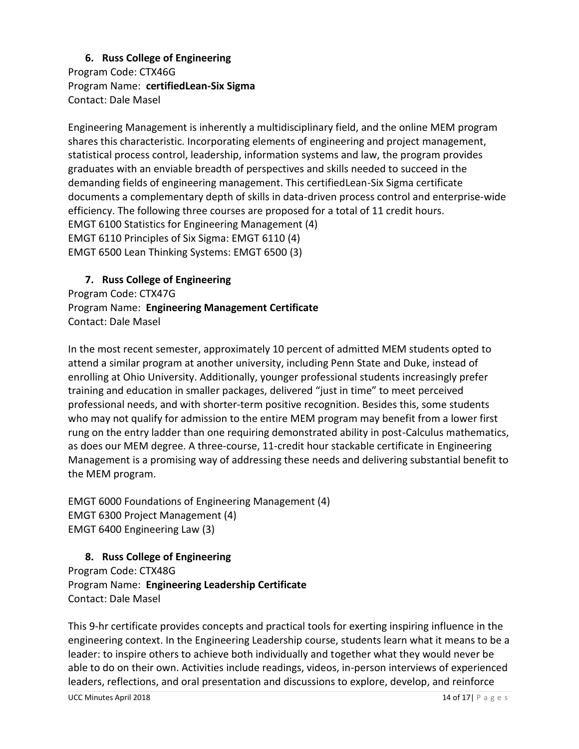**6. Russ College of Engineering** Program Code: CTX46G Program Name: **certifiedLean-Six Sigma** Contact: Dale Masel

Engineering Management is inherently a multidisciplinary field, and the online MEM program shares this characteristic. Incorporating elements of engineering and project management, statistical process control, leadership, information systems and law, the program provides graduates with an enviable breadth of perspectives and skills needed to succeed in the demanding fields of engineering management. This certifiedLean-Six Sigma certificate documents a complementary depth of skills in data-driven process control and enterprise-wide efficiency. The following three courses are proposed for a total of 11 credit hours. EMGT 6100 Statistics for Engineering Management (4) EMGT 6110 Principles of Six Sigma: EMGT 6110 (4) EMGT 6500 Lean Thinking Systems: EMGT 6500 (3)

**7. Russ College of Engineering** Program Code: CTX47G Program Name: **Engineering Management Certificate** Contact: Dale Masel

In the most recent semester, approximately 10 percent of admitted MEM students opted to attend a similar program at another university, including Penn State and Duke, instead of enrolling at Ohio University. Additionally, younger professional students increasingly prefer training and education in smaller packages, delivered "just in time" to meet perceived professional needs, and with shorter-term positive recognition. Besides this, some students who may not qualify for admission to the entire MEM program may benefit from a lower first rung on the entry ladder than one requiring demonstrated ability in post-Calculus mathematics, as does our MEM degree. A three-course, 11-credit hour stackable certificate in Engineering Management is a promising way of addressing these needs and delivering substantial benefit to the MEM program.

EMGT 6000 Foundations of Engineering Management (4) EMGT 6300 Project Management (4) EMGT 6400 Engineering Law (3)

**8. Russ College of Engineering** Program Code: CTX48G Program Name: **Engineering Leadership Certificate** Contact: Dale Masel

This 9-hr certificate provides concepts and practical tools for exerting inspiring influence in the engineering context. In the Engineering Leadership course, students learn what it means to be a leader: to inspire others to achieve both individually and together what they would never be able to do on their own. Activities include readings, videos, in-person interviews of experienced leaders, reflections, and oral presentation and discussions to explore, develop, and reinforce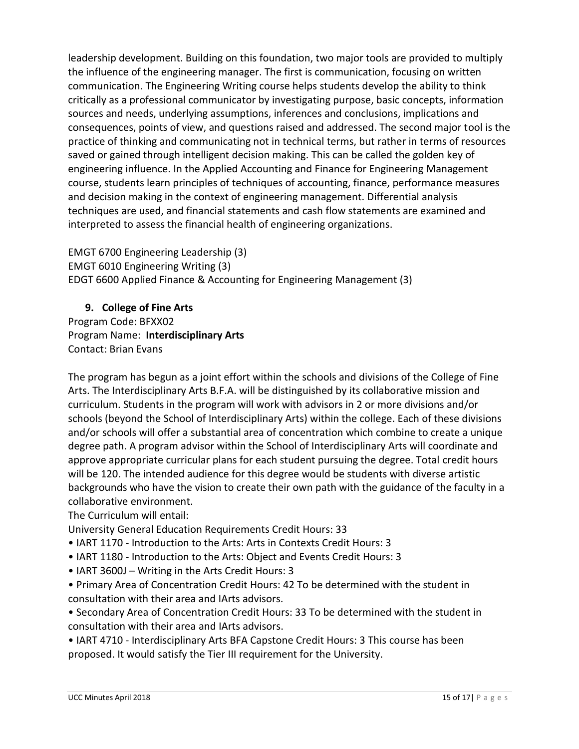leadership development. Building on this foundation, two major tools are provided to multiply the influence of the engineering manager. The first is communication, focusing on written communication. The Engineering Writing course helps students develop the ability to think critically as a professional communicator by investigating purpose, basic concepts, information sources and needs, underlying assumptions, inferences and conclusions, implications and consequences, points of view, and questions raised and addressed. The second major tool is the practice of thinking and communicating not in technical terms, but rather in terms of resources saved or gained through intelligent decision making. This can be called the golden key of engineering influence. In the Applied Accounting and Finance for Engineering Management course, students learn principles of techniques of accounting, finance, performance measures and decision making in the context of engineering management. Differential analysis techniques are used, and financial statements and cash flow statements are examined and interpreted to assess the financial health of engineering organizations.

EMGT 6700 Engineering Leadership (3) EMGT 6010 Engineering Writing (3) EDGT 6600 Applied Finance & Accounting for Engineering Management (3)

**9. College of Fine Arts** Program Code: BFXX02 Program Name: **Interdisciplinary Arts** Contact: Brian Evans

The program has begun as a joint effort within the schools and divisions of the College of Fine Arts. The Interdisciplinary Arts B.F.A. will be distinguished by its collaborative mission and curriculum. Students in the program will work with advisors in 2 or more divisions and/or schools (beyond the School of Interdisciplinary Arts) within the college. Each of these divisions and/or schools will offer a substantial area of concentration which combine to create a unique degree path. A program advisor within the School of Interdisciplinary Arts will coordinate and approve appropriate curricular plans for each student pursuing the degree. Total credit hours will be 120. The intended audience for this degree would be students with diverse artistic backgrounds who have the vision to create their own path with the guidance of the faculty in a collaborative environment.

The Curriculum will entail:

University General Education Requirements Credit Hours: 33

- IART 1170 Introduction to the Arts: Arts in Contexts Credit Hours: 3
- IART 1180 Introduction to the Arts: Object and Events Credit Hours: 3
- IART 3600J Writing in the Arts Credit Hours: 3

• Primary Area of Concentration Credit Hours: 42 To be determined with the student in consultation with their area and IArts advisors.

• Secondary Area of Concentration Credit Hours: 33 To be determined with the student in consultation with their area and IArts advisors.

• IART 4710 - Interdisciplinary Arts BFA Capstone Credit Hours: 3 This course has been proposed. It would satisfy the Tier III requirement for the University.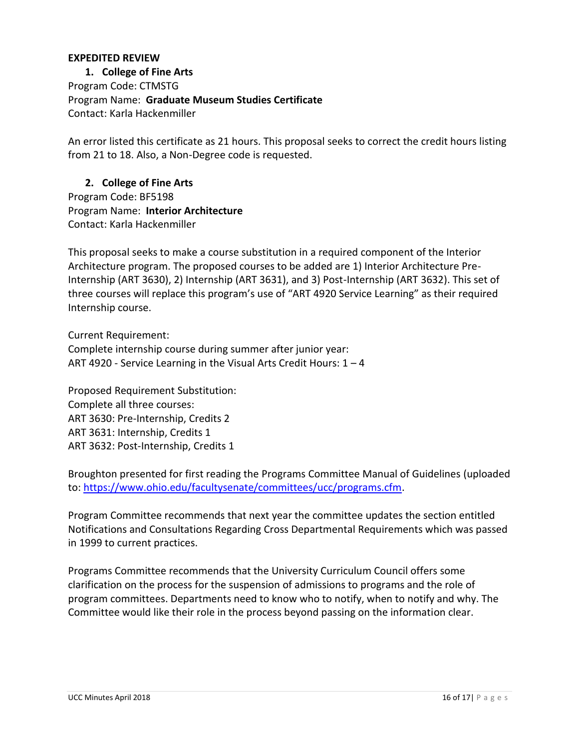#### **EXPEDITED REVIEW**

**1. College of Fine Arts**  Program Code: CTMSTG Program Name: **Graduate Museum Studies Certificate** Contact: Karla Hackenmiller

An error listed this certificate as 21 hours. This proposal seeks to correct the credit hours listing from 21 to 18. Also, a Non-Degree code is requested.

## **2. College of Fine Arts**  Program Code: BF5198 Program Name: **Interior Architecture** Contact: Karla Hackenmiller

This proposal seeks to make a course substitution in a required component of the Interior Architecture program. The proposed courses to be added are 1) Interior Architecture Pre-Internship (ART 3630), 2) Internship (ART 3631), and 3) Post-Internship (ART 3632). This set of three courses will replace this program's use of "ART 4920 Service Learning" as their required Internship course.

Current Requirement: Complete internship course during summer after junior year: ART 4920 - Service Learning in the Visual Arts Credit Hours: 1 – 4

Proposed Requirement Substitution: Complete all three courses: ART 3630: Pre-Internship, Credits 2 ART 3631: Internship, Credits 1 ART 3632: Post-Internship, Credits 1

Broughton presented for first reading the Programs Committee Manual of Guidelines (uploaded to: [https://www.ohio.edu/facultysenate/committees/ucc/programs.cfm.](https://www.ohio.edu/facultysenate/committees/ucc/programs.cfm)

Program Committee recommends that next year the committee updates the section entitled Notifications and Consultations Regarding Cross Departmental Requirements which was passed in 1999 to current practices.

Programs Committee recommends that the University Curriculum Council offers some clarification on the process for the suspension of admissions to programs and the role of program committees. Departments need to know who to notify, when to notify and why. The Committee would like their role in the process beyond passing on the information clear.